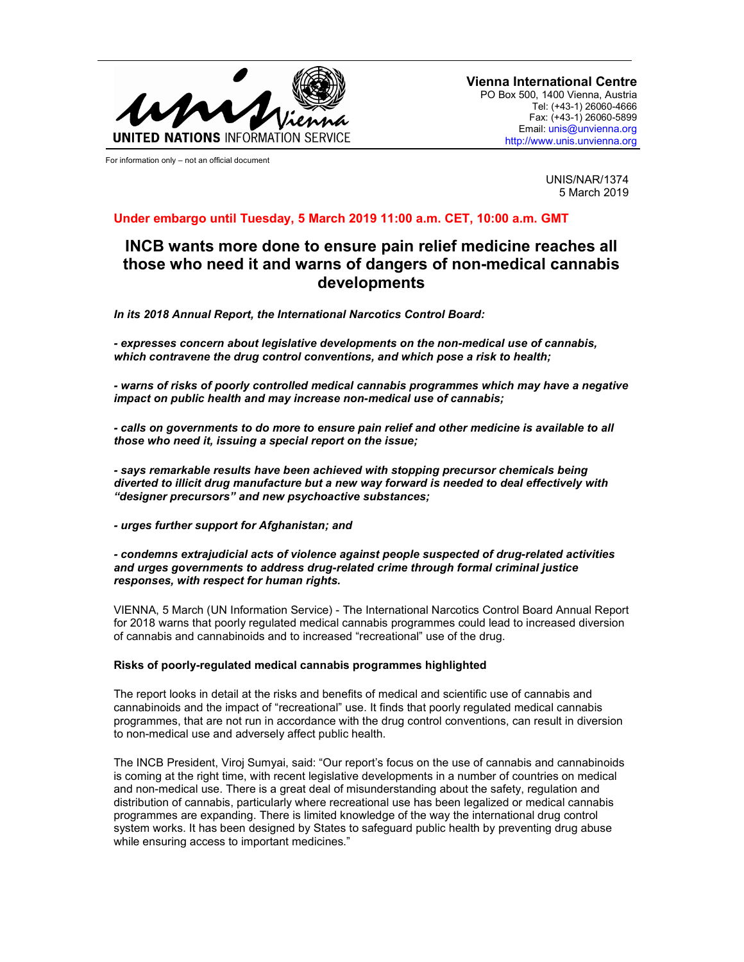

For information only – not an official document

**Vienna International Centre** PO Box 500, 1400 Vienna, Austria Tel: (+43-1) 26060-4666 Fax: (+43-1) 26060-5899 Email: unis@unvienna.org http://www.unis.unvienna.org

> UNIS/NAR/1374 5 March 2019

# **Under embargo until Tuesday, 5 March 2019 11:00 a.m. CET, 10:00 a.m. GMT**

# **INCB wants more done to ensure pain relief medicine reaches all those who need it and warns of dangers of non-medical cannabis developments**

*In its 2018 Annual Report, the International Narcotics Control Board:* 

*- expresses concern about legislative developments on the non-medical use of cannabis, which contravene the drug control conventions, and which pose a risk to health;* 

*- warns of risks of poorly controlled medical cannabis programmes which may have a negative impact on public health and may increase non-medical use of cannabis;* 

*- calls on governments to do more to ensure pain relief and other medicine is available to all those who need it, issuing a special report on the issue;* 

*- says remarkable results have been achieved with stopping precursor chemicals being diverted to illicit drug manufacture but a new way forward is needed to deal effectively with "designer precursors" and new psychoactive substances;* 

*- urges further support for Afghanistan; and* 

*- condemns extrajudicial acts of violence against people suspected of drug-related activities and urges governments to address drug-related crime through formal criminal justice responses, with respect for human rights.* 

VIENNA, 5 March (UN Information Service) - The International Narcotics Control Board Annual Report for 2018 warns that poorly regulated medical cannabis programmes could lead to increased diversion of cannabis and cannabinoids and to increased "recreational" use of the drug.

## **Risks of poorly-regulated medical cannabis programmes highlighted**

The report looks in detail at the risks and benefits of medical and scientific use of cannabis and cannabinoids and the impact of "recreational" use. It finds that poorly regulated medical cannabis programmes, that are not run in accordance with the drug control conventions, can result in diversion to non-medical use and adversely affect public health.

The INCB President, Viroj Sumyai, said: "Our report's focus on the use of cannabis and cannabinoids is coming at the right time, with recent legislative developments in a number of countries on medical and non-medical use. There is a great deal of misunderstanding about the safety, regulation and distribution of cannabis, particularly where recreational use has been legalized or medical cannabis programmes are expanding. There is limited knowledge of the way the international drug control system works. It has been designed by States to safeguard public health by preventing drug abuse while ensuring access to important medicines."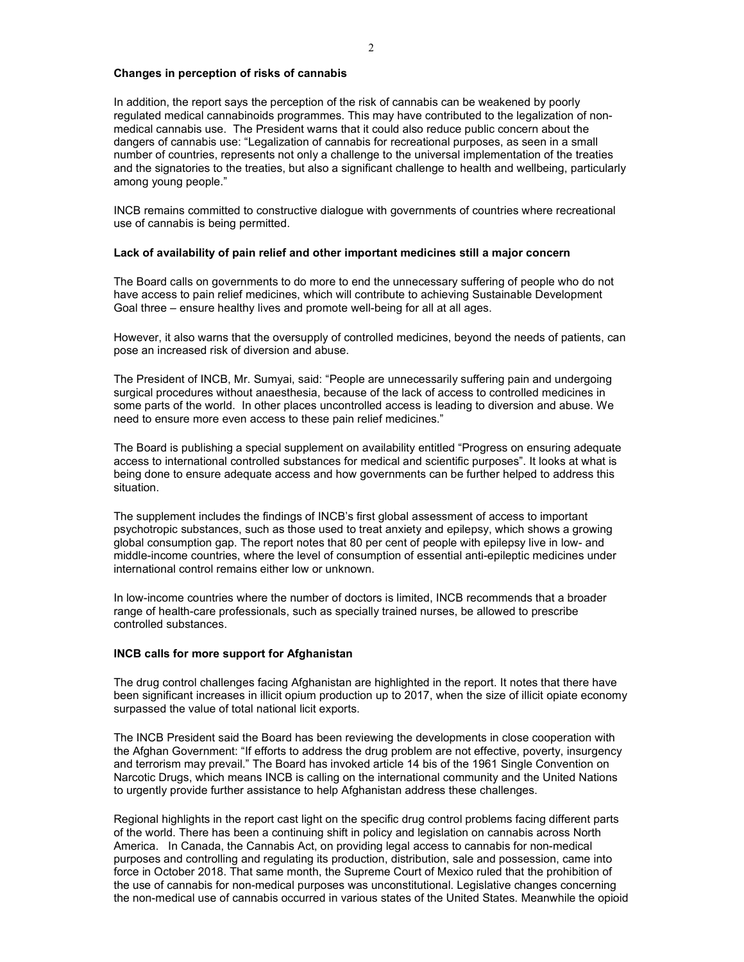### **Changes in perception of risks of cannabis**

In addition, the report says the perception of the risk of cannabis can be weakened by poorly regulated medical cannabinoids programmes. This may have contributed to the legalization of nonmedical cannabis use. The President warns that it could also reduce public concern about the dangers of cannabis use: "Legalization of cannabis for recreational purposes, as seen in a small number of countries, represents not only a challenge to the universal implementation of the treaties and the signatories to the treaties, but also a significant challenge to health and wellbeing, particularly among young people."

INCB remains committed to constructive dialogue with governments of countries where recreational use of cannabis is being permitted.

### **Lack of availability of pain relief and other important medicines still a major concern**

The Board calls on governments to do more to end the unnecessary suffering of people who do not have access to pain relief medicines, which will contribute to achieving Sustainable Development Goal three – ensure healthy lives and promote well-being for all at all ages.

However, it also warns that the oversupply of controlled medicines, beyond the needs of patients, can pose an increased risk of diversion and abuse.

The President of INCB, Mr. Sumyai, said: "People are unnecessarily suffering pain and undergoing surgical procedures without anaesthesia, because of the lack of access to controlled medicines in some parts of the world. In other places uncontrolled access is leading to diversion and abuse. We need to ensure more even access to these pain relief medicines."

The Board is publishing a special supplement on availability entitled "Progress on ensuring adequate access to international controlled substances for medical and scientific purposes". It looks at what is being done to ensure adequate access and how governments can be further helped to address this situation.

The supplement includes the findings of INCB's first global assessment of access to important psychotropic substances, such as those used to treat anxiety and epilepsy, which shows a growing global consumption gap. The report notes that 80 per cent of people with epilepsy live in low- and middle-income countries, where the level of consumption of essential anti-epileptic medicines under international control remains either low or unknown.

In low-income countries where the number of doctors is limited, INCB recommends that a broader range of health-care professionals, such as specially trained nurses, be allowed to prescribe controlled substances.

#### **INCB calls for more support for Afghanistan**

The drug control challenges facing Afghanistan are highlighted in the report. It notes that there have been significant increases in illicit opium production up to 2017, when the size of illicit opiate economy surpassed the value of total national licit exports.

The INCB President said the Board has been reviewing the developments in close cooperation with the Afghan Government: "If efforts to address the drug problem are not effective, poverty, insurgency and terrorism may prevail." The Board has invoked article 14 bis of the 1961 Single Convention on Narcotic Drugs, which means INCB is calling on the international community and the United Nations to urgently provide further assistance to help Afghanistan address these challenges.

Regional highlights in the report cast light on the specific drug control problems facing different parts of the world. There has been a continuing shift in policy and legislation on cannabis across North America. In Canada, the Cannabis Act, on providing legal access to cannabis for non-medical purposes and controlling and regulating its production, distribution, sale and possession, came into force in October 2018. That same month, the Supreme Court of Mexico ruled that the prohibition of the use of cannabis for non-medical purposes was unconstitutional. Legislative changes concerning the non-medical use of cannabis occurred in various states of the United States. Meanwhile the opioid